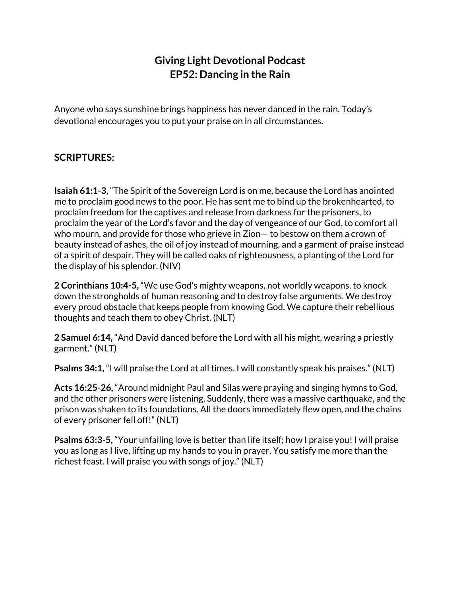## **Giving Light Devotional Podcast EP52: Dancing in the Rain**

Anyone who says sunshine brings happiness has never danced in the rain. Today's devotional encourages you to put your praise on in all circumstances.

#### **SCRIPTURES:**

**Isaiah 61:1-3,** "The Spirit of the Sovereign Lord is on me, because the Lord has anointed me to proclaim good news to the poor. He has sent me to bind up the brokenhearted, to proclaim freedom for the captives and release from darkness for the prisoners, to proclaim the year of the Lord's favor and the day of vengeance of our God, to comfort all who mourn, and provide for those who grieve in Zion— to bestow on them a crown of beauty instead of ashes, the oil of joy instead of mourning, and a garment of praise instead of a spirit of despair. They will be called oaks of righteousness, a planting of the Lord for the display of his splendor. (NIV)

**2 Corinthians 10:4-5,** "We use God's mighty weapons, not worldly weapons, to knock down the strongholds of human reasoning and to destroy false arguments. We destroy every proud obstacle that keeps people from knowing God. We capture their rebellious thoughts and teach them to obey Christ. (NLT)

**2 Samuel 6:14,** "And David danced before the Lord with all his might, wearing a priestly garment." (NLT)

**Psalms 34:1,** "I will praise the Lord at all times. I will constantly speak his praises." (NLT)

**Acts 16:25-26,** "Around midnight Paul and Silas were praying and singing hymns to God, and the other prisoners were listening. Suddenly, there was a massive earthquake, and the prison was shaken to its foundations. All the doors immediately flew open, and the chains of every prisoner fell off!" (NLT)

**Psalms 63:3-5,** "Your unfailing love is better than life itself; how I praise you! I will praise you as long as I live, lifting up my hands to you in prayer. You satisfy me more than the richest feast. I will praise you with songs of joy." (NLT)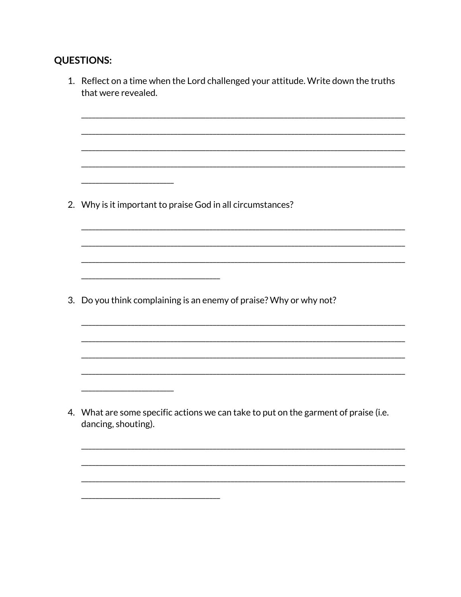#### **QUESTIONS:**

1. Reflect on a time when the Lord challenged your attitude. Write down the truths that were revealed. 2. Why is it important to praise God in all circumstances? 3. Do you think complaining is an enemy of praise? Why or why not? 4. What are some specific actions we can take to put on the garment of praise (i.e. dancing, shouting).